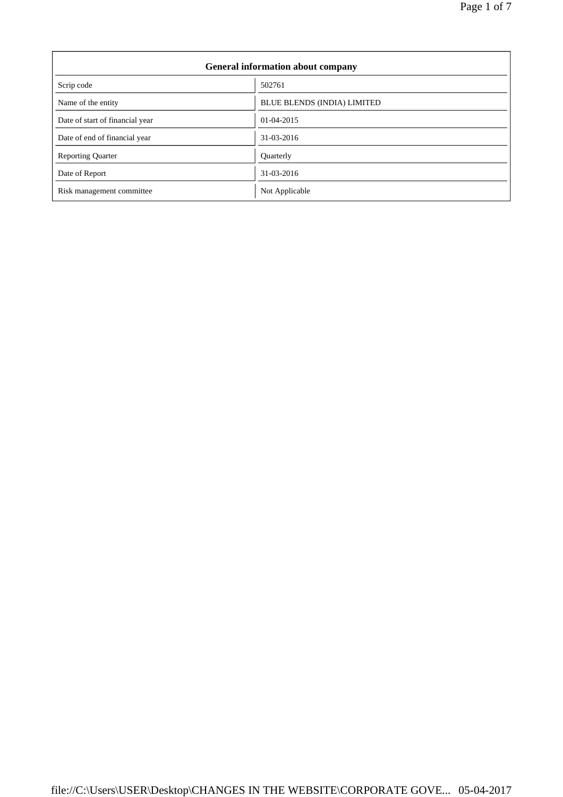| <b>General information about company</b> |                                    |  |
|------------------------------------------|------------------------------------|--|
| Scrip code                               | 502761                             |  |
| Name of the entity                       | <b>BLUE BLENDS (INDIA) LIMITED</b> |  |
| Date of start of financial year          | $01-04-2015$                       |  |
| Date of end of financial year            | 31-03-2016                         |  |
| <b>Reporting Quarter</b>                 | Quarterly                          |  |
| Date of Report                           | 31-03-2016                         |  |
| Risk management committee                | Not Applicable                     |  |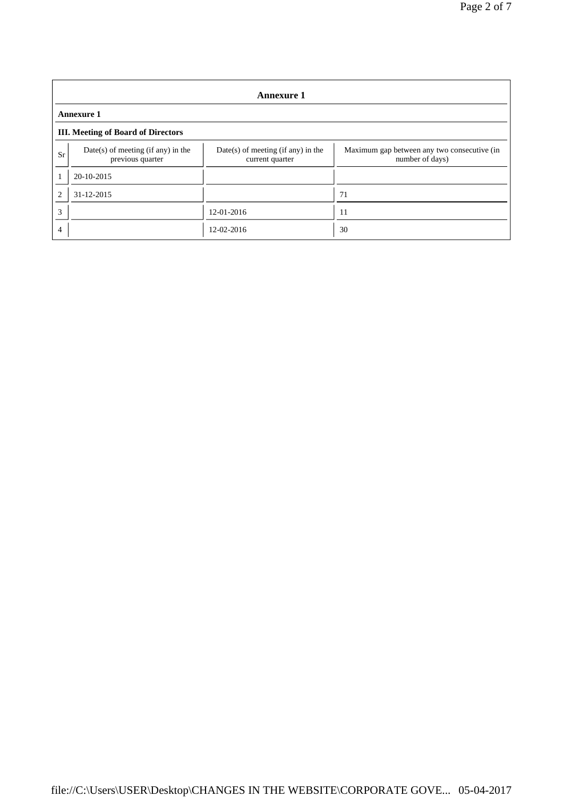| <b>Annexure 1</b>                         |                                                          |                                                         |                                                                |
|-------------------------------------------|----------------------------------------------------------|---------------------------------------------------------|----------------------------------------------------------------|
| <b>Annexure 1</b>                         |                                                          |                                                         |                                                                |
| <b>III.</b> Meeting of Board of Directors |                                                          |                                                         |                                                                |
| Sr                                        | $Date(s)$ of meeting (if any) in the<br>previous quarter | $Date(s)$ of meeting (if any) in the<br>current quarter | Maximum gap between any two consecutive (in<br>number of days) |
|                                           | 20-10-2015                                               |                                                         |                                                                |
| $\overline{c}$                            | $31 - 12 - 2015$                                         |                                                         | 71                                                             |
| 3                                         |                                                          | 12-01-2016                                              | 11                                                             |
| 4                                         |                                                          | 12-02-2016                                              | 30                                                             |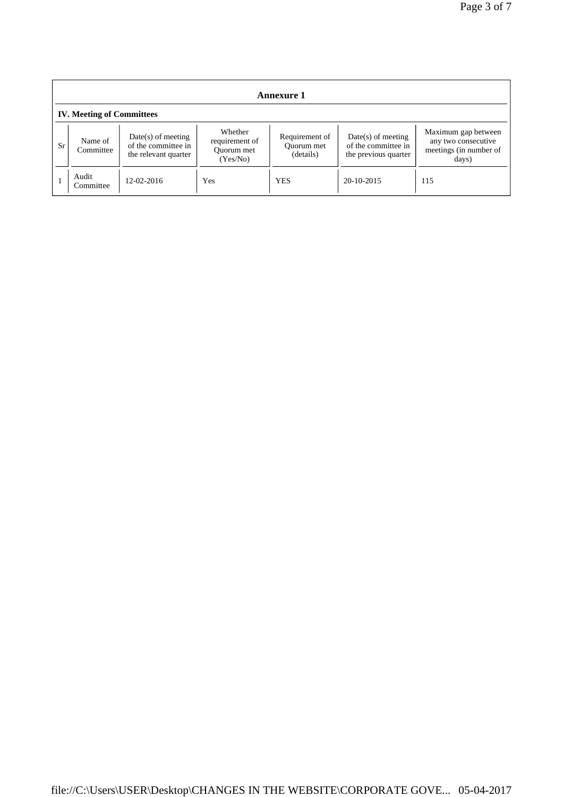| <b>Annexure 1</b>                |                      |                                                                     |                                                     |                                           |                                                                     |                                                                               |
|----------------------------------|----------------------|---------------------------------------------------------------------|-----------------------------------------------------|-------------------------------------------|---------------------------------------------------------------------|-------------------------------------------------------------------------------|
| <b>IV. Meeting of Committees</b> |                      |                                                                     |                                                     |                                           |                                                                     |                                                                               |
| <b>Sr</b>                        | Name of<br>Committee | $Date(s)$ of meeting<br>of the committee in<br>the relevant quarter | Whether<br>requirement of<br>Ouorum met<br>(Yes/No) | Requirement of<br>Ouorum met<br>(details) | $Date(s)$ of meeting<br>of the committee in<br>the previous quarter | Maximum gap between<br>any two consecutive<br>meetings (in number of<br>days) |
|                                  | Audit<br>Committee   | $12 - 02 - 2016$                                                    | Yes                                                 | <b>YES</b>                                | $20-10-2015$                                                        | 115                                                                           |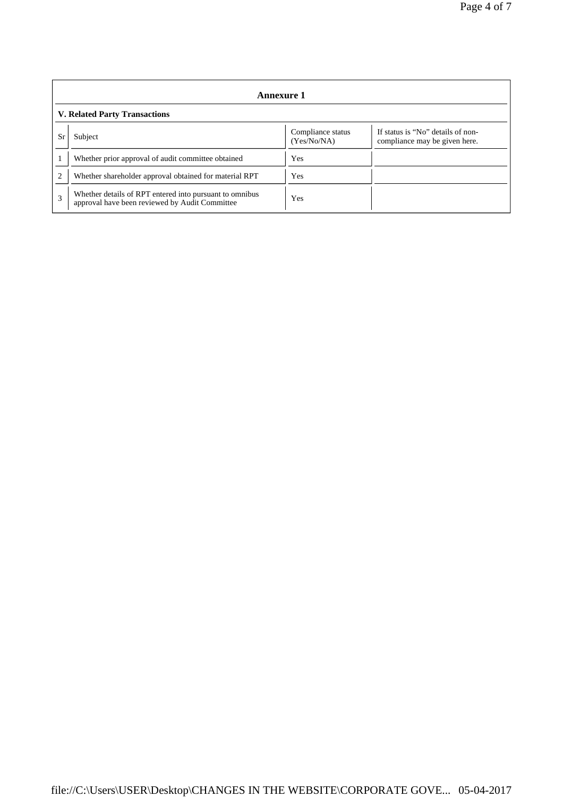| Annexure 1                           |                                                                                                           |                                  |                                                                    |  |
|--------------------------------------|-----------------------------------------------------------------------------------------------------------|----------------------------------|--------------------------------------------------------------------|--|
| <b>V. Related Party Transactions</b> |                                                                                                           |                                  |                                                                    |  |
| Sr                                   | Subject                                                                                                   | Compliance status<br>(Yes/No/NA) | If status is "No" details of non-<br>compliance may be given here. |  |
|                                      | Whether prior approval of audit committee obtained                                                        | Yes                              |                                                                    |  |
| $\overline{c}$                       | Whether shareholder approval obtained for material RPT                                                    | <b>Yes</b>                       |                                                                    |  |
| 3                                    | Whether details of RPT entered into pursuant to omnibus<br>approval have been reviewed by Audit Committee | Yes                              |                                                                    |  |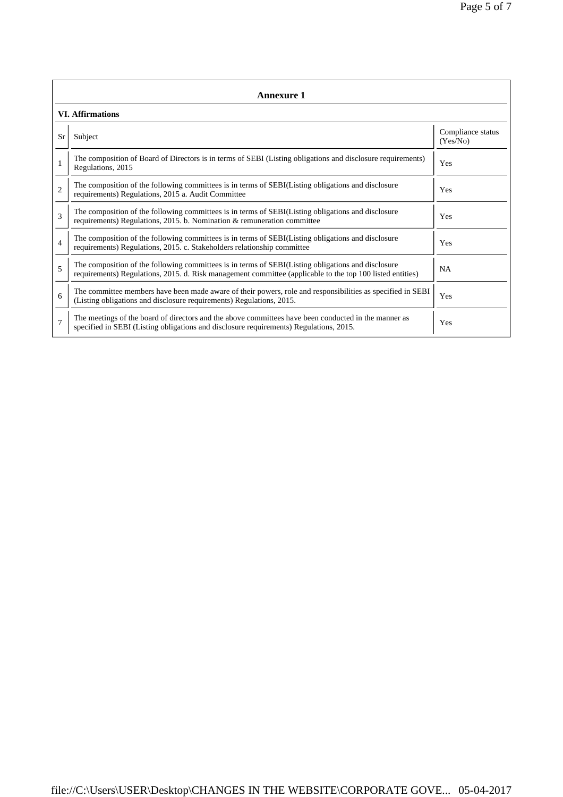| <b>Annexure 1</b>       |                                                                                                                                                                                                                 |                               |  |  |
|-------------------------|-----------------------------------------------------------------------------------------------------------------------------------------------------------------------------------------------------------------|-------------------------------|--|--|
| <b>VI.</b> Affirmations |                                                                                                                                                                                                                 |                               |  |  |
| Sr                      | Subject                                                                                                                                                                                                         | Compliance status<br>(Yes/No) |  |  |
| $\mathbf{1}$            | The composition of Board of Directors is in terms of SEBI (Listing obligations and disclosure requirements)<br>Regulations, 2015                                                                                | Yes                           |  |  |
| $\overline{c}$          | The composition of the following committees is in terms of SEBI(Listing obligations and disclosure<br>requirements) Regulations, 2015 a. Audit Committee                                                        | Yes                           |  |  |
| 3                       | The composition of the following committees is in terms of SEBI(Listing obligations and disclosure<br>requirements) Regulations, 2015. b. Nomination & remuneration committee                                   | Yes                           |  |  |
| $\overline{4}$          | The composition of the following committees is in terms of SEBI(Listing obligations and disclosure<br>requirements) Regulations, 2015. c. Stakeholders relationship committee                                   | Yes                           |  |  |
| 5                       | The composition of the following committees is in terms of SEBI(Listing obligations and disclosure<br>requirements) Regulations, 2015. d. Risk management committee (applicable to the top 100 listed entities) | <b>NA</b>                     |  |  |
| 6                       | The committee members have been made aware of their powers, role and responsibilities as specified in SEBI<br>(Listing obligations and disclosure requirements) Regulations, 2015.                              | Yes                           |  |  |
| $\overline{7}$          | The meetings of the board of directors and the above committees have been conducted in the manner as<br>specified in SEBI (Listing obligations and disclosure requirements) Regulations, 2015.                  | Yes                           |  |  |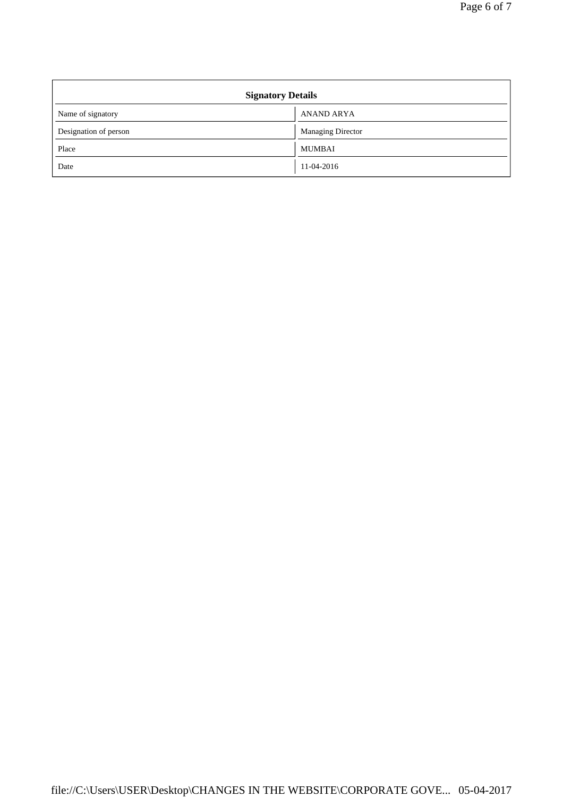| <b>Signatory Details</b> |                          |  |
|--------------------------|--------------------------|--|
| Name of signatory        | <b>ANAND ARYA</b>        |  |
| Designation of person    | <b>Managing Director</b> |  |
| Place                    | <b>MUMBAI</b>            |  |
| Date                     | 11-04-2016               |  |